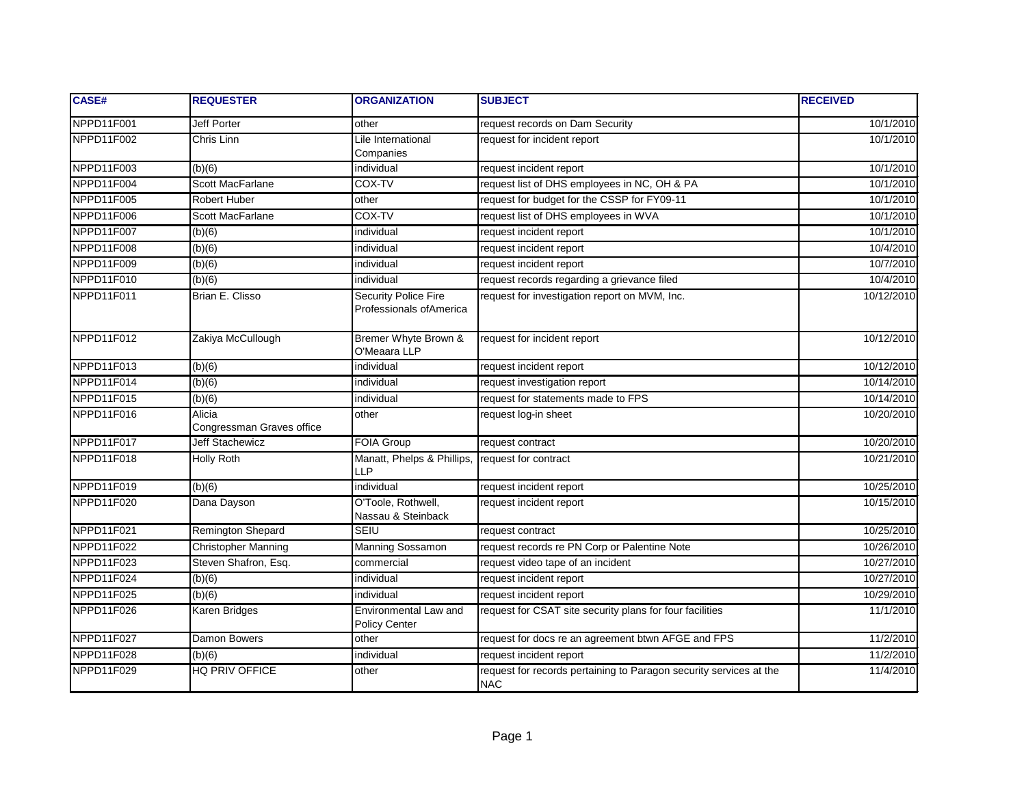| <b>CASE#</b> | <b>REQUESTER</b>                    | <b>ORGANIZATION</b>                                    | <b>SUBJECT</b>                                                                   | <b>RECEIVED</b> |
|--------------|-------------------------------------|--------------------------------------------------------|----------------------------------------------------------------------------------|-----------------|
| NPPD11F001   | Jeff Porter                         | other                                                  | request records on Dam Security                                                  | 10/1/2010       |
| NPPD11F002   | Chris Linn                          | Lile International<br>Companies                        | request for incident report                                                      | 10/1/2010       |
| NPPD11F003   | (b)(6)                              | individual                                             | request incident report                                                          | 10/1/2010       |
| NPPD11F004   | Scott MacFarlane                    | COX-TV                                                 | request list of DHS employees in NC, OH & PA                                     | 10/1/2010       |
| NPPD11F005   | Robert Huber                        | other                                                  | request for budget for the CSSP for FY09-11                                      | 10/1/2010       |
| NPPD11F006   | <b>Scott MacFarlane</b>             | COX-TV                                                 | request list of DHS employees in WVA                                             | 10/1/2010       |
| NPPD11F007   | (b)(6)                              | individual                                             | request incident report                                                          | 10/1/2010       |
| NPPD11F008   | (b)(6)                              | individual                                             | request incident report                                                          | 10/4/2010       |
| NPPD11F009   | (b)(6)                              | individual                                             | request incident report                                                          | 10/7/2010       |
| NPPD11F010   | (b)(6)                              | individual                                             | request records regarding a grievance filed                                      | 10/4/2010       |
| NPPD11F011   | Brian E. Clisso                     | <b>Security Police Fire</b><br>Professionals ofAmerica | request for investigation report on MVM, Inc.                                    | 10/12/2010      |
| NPPD11F012   | Zakiya McCullough                   | Bremer Whyte Brown &<br>O'Meaara LLP                   | request for incident report                                                      | 10/12/2010      |
| NPPD11F013   | (b)(6)                              | individual                                             | request incident report                                                          | 10/12/2010      |
| NPPD11F014   | (b)(6)                              | individual                                             | request investigation report                                                     | 10/14/2010      |
| NPPD11F015   | (b)(6)                              | individual                                             | request for statements made to FPS                                               | 10/14/2010      |
| NPPD11F016   | Alicia<br>Congressman Graves office | other                                                  | request log-in sheet                                                             | 10/20/2010      |
| NPPD11F017   | <b>Jeff Stachewicz</b>              | <b>FOIA Group</b>                                      | request contract                                                                 | 10/20/2010      |
| NPPD11F018   | Holly Roth                          | Manatt, Phelps & Phillips,<br><b>LLP</b>               | request for contract                                                             | 10/21/2010      |
| NPPD11F019   | (b)(6)                              | individual                                             | request incident report                                                          | 10/25/2010      |
| NPPD11F020   | Dana Dayson                         | O'Toole, Rothwell,<br>Nassau & Steinback               | request incident report                                                          | 10/15/2010      |
| NPPD11F021   | Remington Shepard                   | <b>SEIU</b>                                            | request contract                                                                 | 10/25/2010      |
| NPPD11F022   | <b>Christopher Manning</b>          | <b>Manning Sossamon</b>                                | request records re PN Corp or Palentine Note                                     | 10/26/2010      |
| NPPD11F023   | Steven Shafron, Esq.                | commercial                                             | request video tape of an incident                                                | 10/27/2010      |
| NPPD11F024   | (b)(6)                              | individual                                             | request incident report                                                          | 10/27/2010      |
| NPPD11F025   | (b)(6)                              | individual                                             | request incident report                                                          | 10/29/2010      |
| NPPD11F026   | Karen Bridges                       | Environmental Law and<br>Policy Center                 | request for CSAT site security plans for four facilities                         | 11/1/2010       |
| NPPD11F027   | Damon Bowers                        | other                                                  | request for docs re an agreement btwn AFGE and FPS                               | 11/2/2010       |
| NPPD11F028   | (b)(6)                              | individual                                             | request incident report                                                          | 11/2/2010       |
| NPPD11F029   | <b>HQ PRIV OFFICE</b>               | other                                                  | request for records pertaining to Paragon security services at the<br><b>NAC</b> | 11/4/2010       |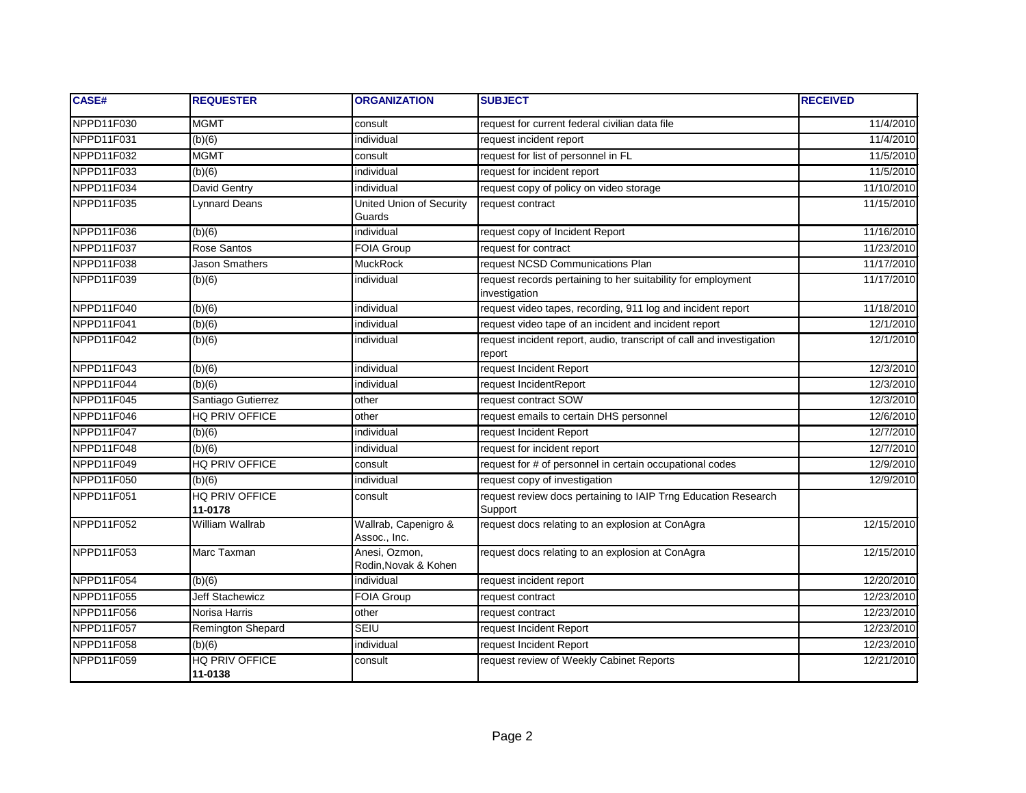| <b>CASE#</b> | <b>REQUESTER</b>          | <b>ORGANIZATION</b>                   | <b>SUBJECT</b>                                                                 | <b>RECEIVED</b> |
|--------------|---------------------------|---------------------------------------|--------------------------------------------------------------------------------|-----------------|
| NPPD11F030   | <b>MGMT</b>               | consult                               | request for current federal civilian data file                                 | 11/4/2010       |
| NPPD11F031   | (b)(6)                    | individual                            | request incident report                                                        | 11/4/2010       |
| NPPD11F032   | <b>MGMT</b>               | consult                               | request for list of personnel in FL                                            | 11/5/2010       |
| NPPD11F033   | (b)(6)                    | individual                            | request for incident report                                                    | 11/5/2010       |
| NPPD11F034   | David Gentry              | individual                            | request copy of policy on video storage                                        | 11/10/2010      |
| NPPD11F035   | Lynnard Deans             | United Union of Security<br>Guards    | request contract                                                               | 11/15/2010      |
| NPPD11F036   | (b)(6)                    | individual                            | request copy of Incident Report                                                | 11/16/2010      |
| NPPD11F037   | Rose Santos               | <b>FOIA Group</b>                     | request for contract                                                           | 11/23/2010      |
| NPPD11F038   | Jason Smathers            | <b>MuckRock</b>                       | request NCSD Communications Plan                                               | 11/17/2010      |
| NPPD11F039   | (b)(6)                    | individual                            | request records pertaining to her suitability for employment<br>investigation  | 11/17/2010      |
| NPPD11F040   | (b)(6)                    | individual                            | request video tapes, recording, 911 log and incident report                    | 11/18/2010      |
| NPPD11F041   | (b)(6)                    | individual                            | request video tape of an incident and incident report                          | 12/1/2010       |
| NPPD11F042   | (b)(6)                    | individual                            | request incident report, audio, transcript of call and investigation<br>report | 12/1/2010       |
| NPPD11F043   | (b)(6)                    | individual                            | request Incident Report                                                        | 12/3/2010       |
| NPPD11F044   | (b)(6)                    | individual                            | request IncidentReport                                                         | 12/3/2010       |
| NPPD11F045   | Santiago Gutierrez        | other                                 | request contract SOW                                                           | 12/3/2010       |
| NPPD11F046   | <b>HQ PRIV OFFICE</b>     | other                                 | request emails to certain DHS personnel                                        | 12/6/2010       |
| NPPD11F047   | (b)(6)                    | individual                            | request Incident Report                                                        | 12/7/2010       |
| NPPD11F048   | (b)(6)                    | individual                            | request for incident report                                                    | 12/7/2010       |
| NPPD11F049   | HQ PRIV OFFICE            | consult                               | request for # of personnel in certain occupational codes                       | 12/9/2010       |
| NPPD11F050   | (b)(6)                    | individual                            | request copy of investigation                                                  | 12/9/2010       |
| NPPD11F051   | HQ PRIV OFFICE<br>11-0178 | consult                               | request review docs pertaining to IAIP Trng Education Research<br>Support      |                 |
| NPPD11F052   | William Wallrab           | Wallrab, Capenigro &<br>Assoc., Inc.  | request docs relating to an explosion at ConAgra                               | 12/15/2010      |
| NPPD11F053   | Marc Taxman               | Anesi, Ozmon,<br>Rodin, Novak & Kohen | request docs relating to an explosion at ConAgra                               | 12/15/2010      |
| NPPD11F054   | (b)(6)                    | individual                            | request incident report                                                        | 12/20/2010      |
| NPPD11F055   | <b>Jeff Stachewicz</b>    | FOIA Group                            | request contract                                                               | 12/23/2010      |
| NPPD11F056   | Norisa Harris             | other                                 | request contract                                                               | 12/23/2010      |
| NPPD11F057   | Remington Shepard         | <b>SEIU</b>                           | request Incident Report                                                        | 12/23/2010      |
| NPPD11F058   | (b)(6)                    | individual                            | request Incident Report                                                        | 12/23/2010      |
| NPPD11F059   | HQ PRIV OFFICE<br>11-0138 | consult                               | request review of Weekly Cabinet Reports                                       | 12/21/2010      |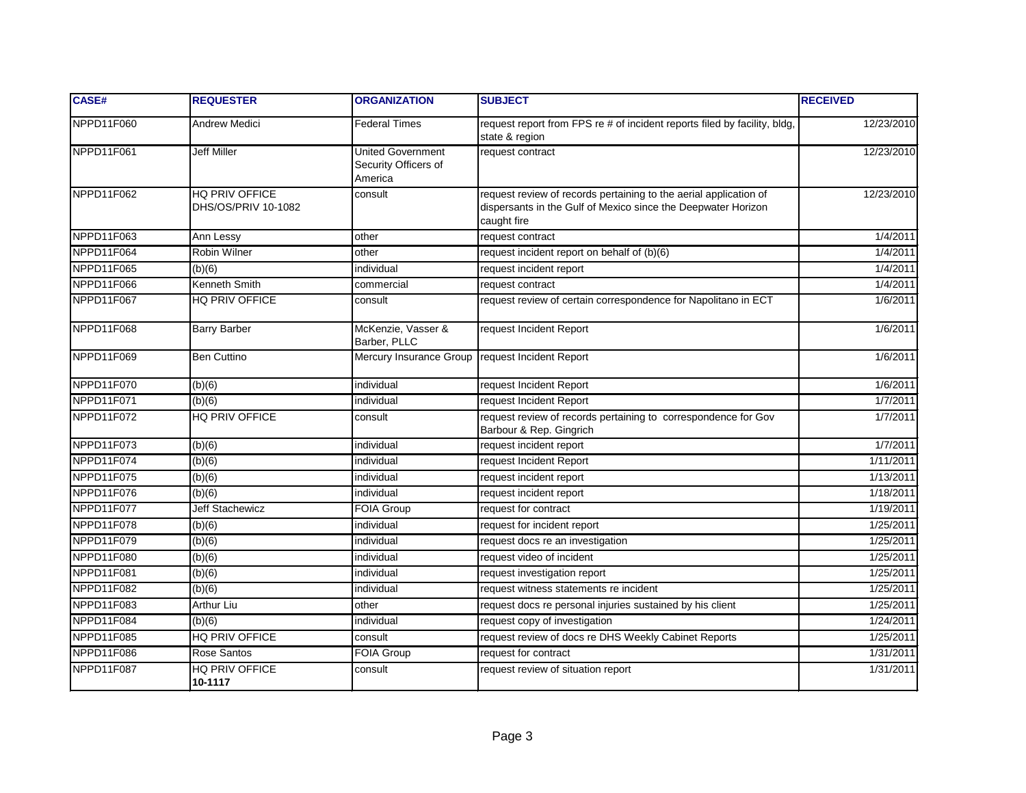| CASE#      | <b>REQUESTER</b>                      | <b>ORGANIZATION</b>                                         | <b>SUBJECT</b>                                                                                                                                    | <b>RECEIVED</b> |
|------------|---------------------------------------|-------------------------------------------------------------|---------------------------------------------------------------------------------------------------------------------------------------------------|-----------------|
| NPPD11F060 | <b>Andrew Medici</b>                  | <b>Federal Times</b>                                        | request report from FPS re # of incident reports filed by facility, bldg,<br>state & region                                                       | 12/23/2010      |
| NPPD11F061 | <b>Jeff Miller</b>                    | <b>United Government</b><br>Security Officers of<br>America | request contract                                                                                                                                  | 12/23/2010      |
| NPPD11F062 | HQ PRIV OFFICE<br>DHS/OS/PRIV 10-1082 | consult                                                     | request review of records pertaining to the aerial application of<br>dispersants in the Gulf of Mexico since the Deepwater Horizon<br>caught fire | 12/23/2010      |
| NPPD11F063 | Ann Lessy                             | other                                                       | request contract                                                                                                                                  | 1/4/201'        |
| NPPD11F064 | <b>Robin Wilner</b>                   | other                                                       | request incident report on behalf of (b)(6)                                                                                                       | 1/4/2011        |
| NPPD11F065 | (b)(6)                                | individual                                                  | request incident report                                                                                                                           | 1/4/2011        |
| NPPD11F066 | Kenneth Smith                         | commercial                                                  | request contract                                                                                                                                  | 1/4/2011        |
| NPPD11F067 | <b>HQ PRIV OFFICE</b>                 | consult                                                     | request review of certain correspondence for Napolitano in ECT                                                                                    | 1/6/2011        |
| NPPD11F068 | <b>Barry Barber</b>                   | McKenzie, Vasser &<br>Barber, PLLC                          | request Incident Report                                                                                                                           | 1/6/2011        |
| NPPD11F069 | <b>Ben Cuttino</b>                    | Mercury Insurance Group request Incident Report             |                                                                                                                                                   | 1/6/2011        |
| NPPD11F070 | (b)(6)                                | individual                                                  | request Incident Report                                                                                                                           | 1/6/2011        |
| NPPD11F071 | (b)(6)                                | individual                                                  | request Incident Report                                                                                                                           | 1/7/2011        |
| NPPD11F072 | <b>HQ PRIV OFFICE</b>                 | consult                                                     | request review of records pertaining to correspondence for Gov<br>Barbour & Rep. Gingrich                                                         | 1/7/2011        |
| NPPD11F073 | (b)(6)                                | individual                                                  | request incident report                                                                                                                           | 1/7/2011        |
| NPPD11F074 | (b)(6)                                | individual                                                  | request Incident Report                                                                                                                           | 1/11/2011       |
| NPPD11F075 | (b)(6)                                | individual                                                  | request incident report                                                                                                                           | 1/13/2011       |
| NPPD11F076 | (b)(6)                                | individual                                                  | request incident report                                                                                                                           | 1/18/2011       |
| NPPD11F077 | <b>Jeff Stachewicz</b>                | FOIA Group                                                  | request for contract                                                                                                                              | 1/19/2011       |
| NPPD11F078 | (b)(6)                                | individual                                                  | request for incident report                                                                                                                       | 1/25/2011       |
| NPPD11F079 | (b)(6)                                | individual                                                  | request docs re an investigation                                                                                                                  | 1/25/2011       |
| NPPD11F080 | (b)(6)                                | individual                                                  | request video of incident                                                                                                                         | 1/25/2011       |
| NPPD11F081 | (b)(6)                                | individual                                                  | request investigation report                                                                                                                      | 1/25/2011       |
| NPPD11F082 | (b)(6)                                | individual                                                  | request witness statements re incident                                                                                                            | 1/25/2011       |
| NPPD11F083 | <b>Arthur Liu</b>                     | other                                                       | request docs re personal injuries sustained by his client                                                                                         | 1/25/2011       |
| NPPD11F084 | (b)(6)                                | individual                                                  | request copy of investigation                                                                                                                     | 1/24/2011       |
| NPPD11F085 | HQ PRIV OFFICE                        | consult                                                     | request review of docs re DHS Weekly Cabinet Reports                                                                                              | 1/25/2011       |
| NPPD11F086 | Rose Santos                           | FOIA Group                                                  | request for contract                                                                                                                              | 1/31/2011       |
| NPPD11F087 | HQ PRIV OFFICE<br>10-1117             | consult                                                     | request review of situation report                                                                                                                | 1/31/2011       |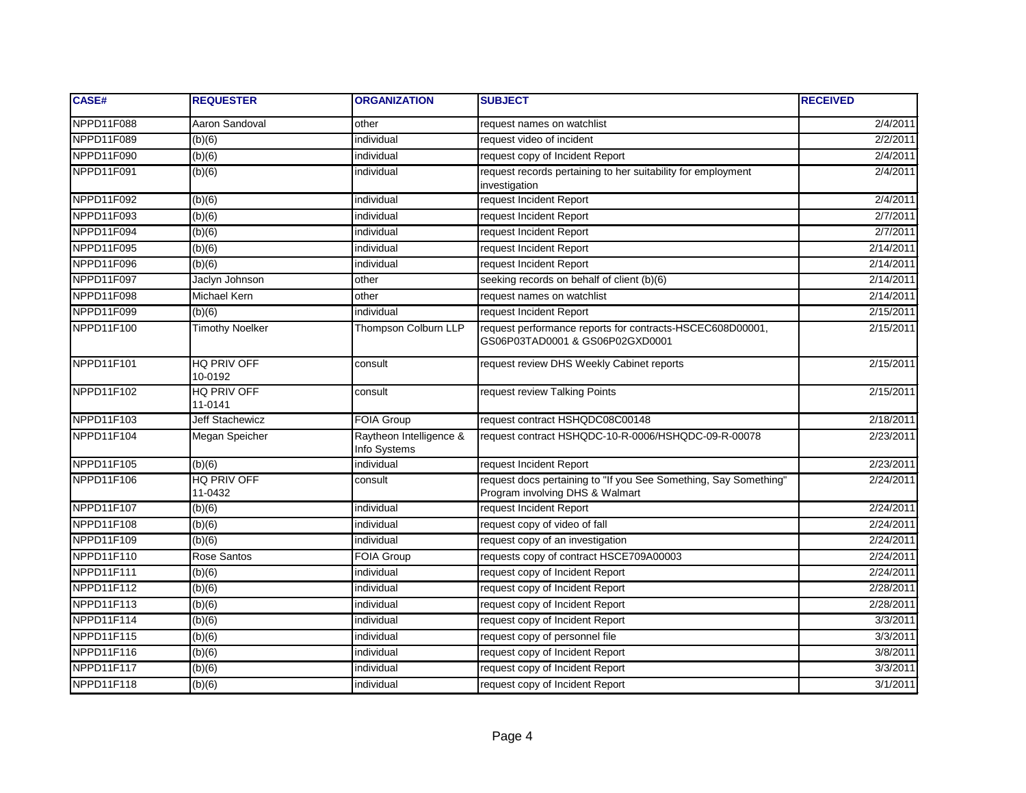| <b>CASE#</b> | <b>REQUESTER</b>       | <b>ORGANIZATION</b>                     | <b>SUBJECT</b>                                                                                      | <b>RECEIVED</b> |
|--------------|------------------------|-----------------------------------------|-----------------------------------------------------------------------------------------------------|-----------------|
| NPPD11F088   | Aaron Sandoval         | other                                   | request names on watchlist                                                                          | 2/4/2011        |
| NPPD11F089   | (b)(6)                 | individual                              | request video of incident                                                                           | 2/2/2011        |
| NPPD11F090   | (b)(6)                 | individual                              | request copy of Incident Report                                                                     | 2/4/2011        |
| NPPD11F091   | (b)(6)                 | individual                              | request records pertaining to her suitability for employment<br>investigation                       | 2/4/2011        |
| NPPD11F092   | (b)(6)                 | individual                              | request Incident Report                                                                             | 2/4/2011        |
| NPPD11F093   | (b)(6)                 | individual                              | request Incident Report                                                                             | 2/7/2011        |
| NPPD11F094   | (b)(6)                 | individual                              | request Incident Report                                                                             | 2/7/2011        |
| NPPD11F095   | (b)(6)                 | individual                              | request Incident Report                                                                             | 2/14/2011       |
| NPPD11F096   | (b)(6)                 | individual                              | request Incident Report                                                                             | 2/14/2011       |
| NPPD11F097   | Jaclyn Johnson         | other                                   | seeking records on behalf of client (b)(6)                                                          | 2/14/2011       |
| NPPD11F098   | <b>Michael Kern</b>    | other                                   | request names on watchlist                                                                          | 2/14/2011       |
| NPPD11F099   | (b)(6)                 | individual                              | request Incident Report                                                                             | 2/15/2011       |
| NPPD11F100   | <b>Timothy Noelker</b> | <b>Thompson Colburn LLP</b>             | request performance reports for contracts-HSCEC608D00001,<br>GS06P03TAD0001 & GS06P02GXD0001        | 2/15/2011       |
| NPPD11F101   | HQ PRIV OFF<br>10-0192 | consult                                 | request review DHS Weekly Cabinet reports                                                           | 2/15/2011       |
| NPPD11F102   | HQ PRIV OFF<br>11-0141 | consult                                 | request review Talking Points                                                                       | 2/15/2011       |
| NPPD11F103   | Jeff Stachewicz        | <b>FOIA Group</b>                       | request contract HSHQDC08C00148                                                                     | 2/18/2011       |
| NPPD11F104   | Megan Speicher         | Raytheon Intelligence &<br>Info Systems | request contract HSHQDC-10-R-0006/HSHQDC-09-R-00078                                                 | 2/23/2011       |
| NPPD11F105   | (b)(6)                 | individual                              | request Incident Report                                                                             | 2/23/2011       |
| NPPD11F106   | HQ PRIV OFF<br>11-0432 | consult                                 | request docs pertaining to "If you See Something, Say Something"<br>Program involving DHS & Walmart | 2/24/2011       |
| NPPD11F107   | (b)(6)                 | individual                              | request Incident Report                                                                             | 2/24/2011       |
| NPPD11F108   | (b)(6)                 | individual                              | request copy of video of fall                                                                       | 2/24/2011       |
| NPPD11F109   | (b)(6)                 | individual                              | request copy of an investigation                                                                    | 2/24/2011       |
| NPPD11F110   | Rose Santos            | <b>FOIA Group</b>                       | requests copy of contract HSCE709A00003                                                             | 2/24/2011       |
| NPPD11F111   | (b)(6)                 | individual                              | request copy of Incident Report                                                                     | 2/24/2011       |
| NPPD11F112   | (b)(6)                 | individual                              | request copy of Incident Report                                                                     | 2/28/2011       |
| NPPD11F113   | (b)(6)                 | individual                              | request copy of Incident Report                                                                     | 2/28/2011       |
| NPPD11F114   | (b)(6)                 | individual                              | request copy of Incident Report                                                                     | 3/3/2011        |
| NPPD11F115   | (b)(6)                 | individual                              | request copy of personnel file                                                                      | 3/3/2011        |
| NPPD11F116   | (b)(6)                 | individual                              | request copy of Incident Report                                                                     | 3/8/2011        |
| NPPD11F117   | (b)(6)                 | individual                              | request copy of Incident Report                                                                     | 3/3/2011        |
| NPPD11F118   | $(b)(\overline{6})$    | individual                              | request copy of Incident Report                                                                     | 3/1/2011        |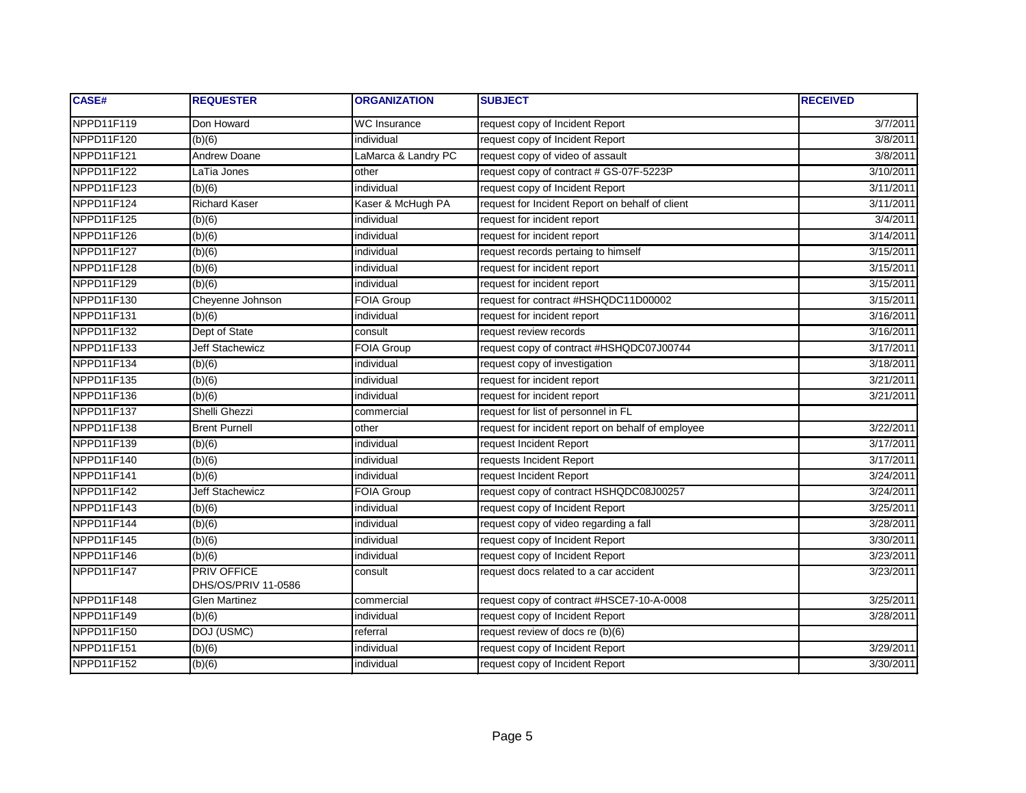| CASE#      | <b>REQUESTER</b>                          | <b>ORGANIZATION</b> | <b>SUBJECT</b>                                    | <b>RECEIVED</b> |
|------------|-------------------------------------------|---------------------|---------------------------------------------------|-----------------|
| NPPD11F119 | Don Howard                                | WC Insurance        | request copy of Incident Report                   | 3/7/2011        |
| NPPD11F120 | (b)(6)                                    | individual          | request copy of Incident Report                   | 3/8/2011        |
| NPPD11F121 | <b>Andrew Doane</b>                       | LaMarca & Landry PC | request copy of video of assault                  | 3/8/2011        |
| NPPD11F122 | _aTia Jones                               | other               | request copy of contract # GS-07F-5223P           | 3/10/2011       |
| NPPD11F123 | $\overline{(b)(6)}$                       | individual          | request copy of Incident Report                   | 3/11/2011       |
| NPPD11F124 | <b>Richard Kaser</b>                      | Kaser & McHugh PA   | request for Incident Report on behalf of client   | 3/11/2011       |
| NPPD11F125 | (b)(6)                                    | individual          | request for incident report                       | 3/4/2011        |
| NPPD11F126 | (b)(6)                                    | individual          | request for incident report                       | 3/14/2011       |
| NPPD11F127 | (b)(6)                                    | individual          | request records pertaing to himself               | 3/15/2011       |
| NPPD11F128 | $\overline{(b)(6)}$                       | individual          | request for incident report                       | 3/15/2011       |
| NPPD11F129 | (b)(6)                                    | individual          | request for incident report                       | 3/15/2011       |
| NPPD11F130 | Cheyenne Johnson                          | <b>FOIA Group</b>   | request for contract #HSHQDC11D00002              | 3/15/2011       |
| NPPD11F131 | (b)(6)                                    | individual          | request for incident report                       | 3/16/2011       |
| NPPD11F132 | Dept of State                             | consult             | request review records                            | 3/16/2011       |
| NPPD11F133 | Jeff Stachewicz                           | FOIA Group          | request copy of contract #HSHQDC07J00744          | 3/17/2011       |
| NPPD11F134 | (b)(6)                                    | individual          | request copy of investigation                     | 3/18/2011       |
| NPPD11F135 | (b)(6)                                    | individual          | request for incident report                       | 3/21/2011       |
| NPPD11F136 | (b)(6)                                    | individual          | request for incident report                       | 3/21/2011       |
| NPPD11F137 | Shelli Ghezzi                             | commercial          | request for list of personnel in FL               |                 |
| NPPD11F138 | <b>Brent Purnell</b>                      | other               | request for incident report on behalf of employee | 3/22/2011       |
| NPPD11F139 | (b)(6)                                    | individual          | request Incident Report                           | 3/17/2011       |
| NPPD11F140 | (b)(6)                                    | individual          | requests Incident Report                          | 3/17/2011       |
| NPPD11F141 | (b)(6)                                    | individual          | request Incident Report                           | 3/24/2011       |
| NPPD11F142 | <b>Jeff Stachewicz</b>                    | <b>FOIA Group</b>   | request copy of contract HSHQDC08J00257           | 3/24/2011       |
| NPPD11F143 | (b)(6)                                    | individual          | request copy of Incident Report                   | 3/25/2011       |
| NPPD11F144 | (b)(6)                                    | individual          | request copy of video regarding a fall            | 3/28/2011       |
| NPPD11F145 | (b)(6)                                    | individual          | request copy of Incident Report                   | 3/30/2011       |
| NPPD11F146 | (b)(6)                                    | individual          | request copy of Incident Report                   | 3/23/2011       |
| NPPD11F147 | <b>PRIV OFFICE</b><br>DHS/OS/PRIV 11-0586 | consult             | request docs related to a car accident            | 3/23/2011       |
| NPPD11F148 | <b>Glen Martinez</b>                      | commercial          | request copy of contract #HSCE7-10-A-0008         | 3/25/2011       |
| NPPD11F149 | (b)(6)                                    | individual          | request copy of Incident Report                   | 3/28/2011       |
| NPPD11F150 | DOJ (USMC)                                | referral            | request review of docs re (b)(6)                  |                 |
| NPPD11F151 | (b)(6)                                    | individual          | request copy of Incident Report                   | 3/29/2011       |
| NPPD11F152 | (b)(6)                                    | individual          | request copy of Incident Report                   | 3/30/2011       |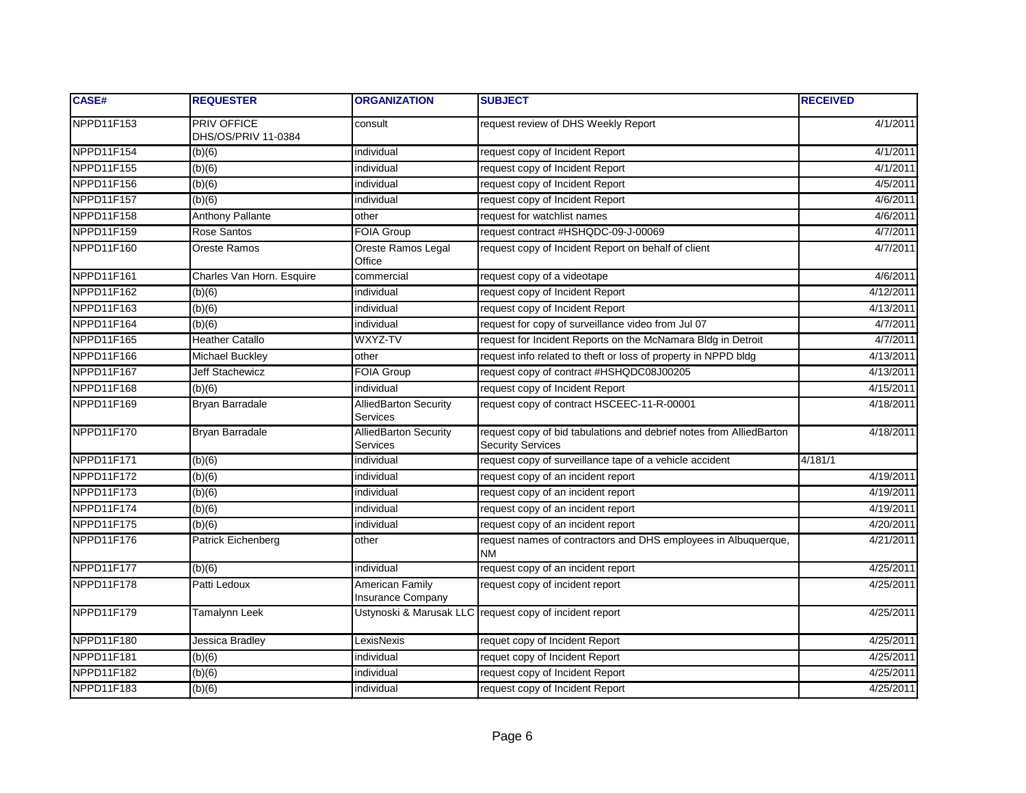| CASE#      | <b>REQUESTER</b>                   | <b>ORGANIZATION</b>                      | <b>SUBJECT</b>                                                                                  | <b>RECEIVED</b> |
|------------|------------------------------------|------------------------------------------|-------------------------------------------------------------------------------------------------|-----------------|
| NPPD11F153 | PRIV OFFICE<br>DHS/OS/PRIV 11-0384 | consult                                  | request review of DHS Weekly Report                                                             | 4/1/2011        |
| NPPD11F154 | (b)(6)                             | individual                               | request copy of Incident Report                                                                 | 4/1/2011        |
| NPPD11F155 | (b)(6)                             | individual                               | request copy of Incident Report                                                                 | 4/1/2011        |
| NPPD11F156 | (b)(6)                             | individual                               | request copy of Incident Report                                                                 | 4/5/2011        |
| NPPD11F157 | (b)(6)                             | individual                               | request copy of Incident Report                                                                 | 4/6/2011        |
| NPPD11F158 | <b>Anthony Pallante</b>            | other                                    | request for watchlist names                                                                     | 4/6/2011        |
| NPPD11F159 | Rose Santos                        | <b>FOIA Group</b>                        | request contract #HSHQDC-09-J-00069                                                             | 4/7/2011        |
| NPPD11F160 | Oreste Ramos                       | Oreste Ramos Legal<br>Office             | request copy of Incident Report on behalf of client                                             | 4/7/2011        |
| NPPD11F161 | Charles Van Horn. Esquire          | commercial                               | request copy of a videotape                                                                     | 4/6/2011        |
| NPPD11F162 | (b)(6)                             | individual                               | request copy of Incident Report                                                                 | 4/12/2011       |
| NPPD11F163 | (b)(6)                             | individual                               | request copy of Incident Report                                                                 | 4/13/2011       |
| NPPD11F164 | (b)(6)                             | individual                               | request for copy of surveillance video from Jul 07                                              | 4/7/2011        |
| NPPD11F165 | <b>Heather Catallo</b>             | WXYZ-TV                                  | request for Incident Reports on the McNamara Bldg in Detroit                                    | 4/7/2011        |
| NPPD11F166 | <b>Michael Buckley</b>             | other                                    | request info related to theft or loss of property in NPPD bldg                                  | 4/13/2011       |
| NPPD11F167 | Jeff Stachewicz                    | FOIA Group                               | request copy of contract #HSHQDC08J00205                                                        | 4/13/2011       |
| NPPD11F168 | (b)(6)                             | individual                               | request copy of Incident Report                                                                 | 4/15/2011       |
| NPPD11F169 | Bryan Barradale                    | AlliedBarton Security<br>Services        | request copy of contract HSCEEC-11-R-00001                                                      | 4/18/2011       |
| NPPD11F170 | Bryan Barradale                    | <b>AlliedBarton Security</b><br>Services | request copy of bid tabulations and debrief notes from AlliedBarton<br><b>Security Services</b> | 4/18/2011       |
| NPPD11F171 | (b)(6)                             | individual                               | request copy of surveillance tape of a vehicle accident                                         | 4/181/1         |
| NPPD11F172 | (b)(6)                             | individual                               | request copy of an incident report                                                              | 4/19/2011       |
| NPPD11F173 | (b)(6)                             | individual                               | request copy of an incident report                                                              | 4/19/2011       |
| NPPD11F174 | (b)(6)                             | individual                               | request copy of an incident report                                                              | 4/19/2011       |
| NPPD11F175 | (b)(6)                             | individual                               | request copy of an incident report                                                              | 4/20/2011       |
| NPPD11F176 | Patrick Eichenberg                 | other                                    | request names of contractors and DHS employees in Albuquerque,<br><b>NM</b>                     | 4/21/2011       |
| NPPD11F177 | (b)(6)                             | individual                               | request copy of an incident report                                                              | 4/25/2011       |
| NPPD11F178 | Patti Ledoux                       | American Family<br>Insurance Company     | request copy of incident report                                                                 | 4/25/2011       |
| NPPD11F179 | Tamalynn Leek                      |                                          | Ustynoski & Marusak LLC request copy of incident report                                         | 4/25/2011       |
| NPPD11F180 | Jessica Bradley                    | LexisNexis                               | requet copy of Incident Report                                                                  | 4/25/2011       |
| NPPD11F181 | (b)(6)                             | individual                               | requet copy of Incident Report                                                                  | 4/25/2011       |
| NPPD11F182 | (b)(6)                             | individual                               | request copy of Incident Report                                                                 | 4/25/2011       |
| NPPD11F183 | (b)(6)                             | individual                               | request copy of Incident Report                                                                 | 4/25/2011       |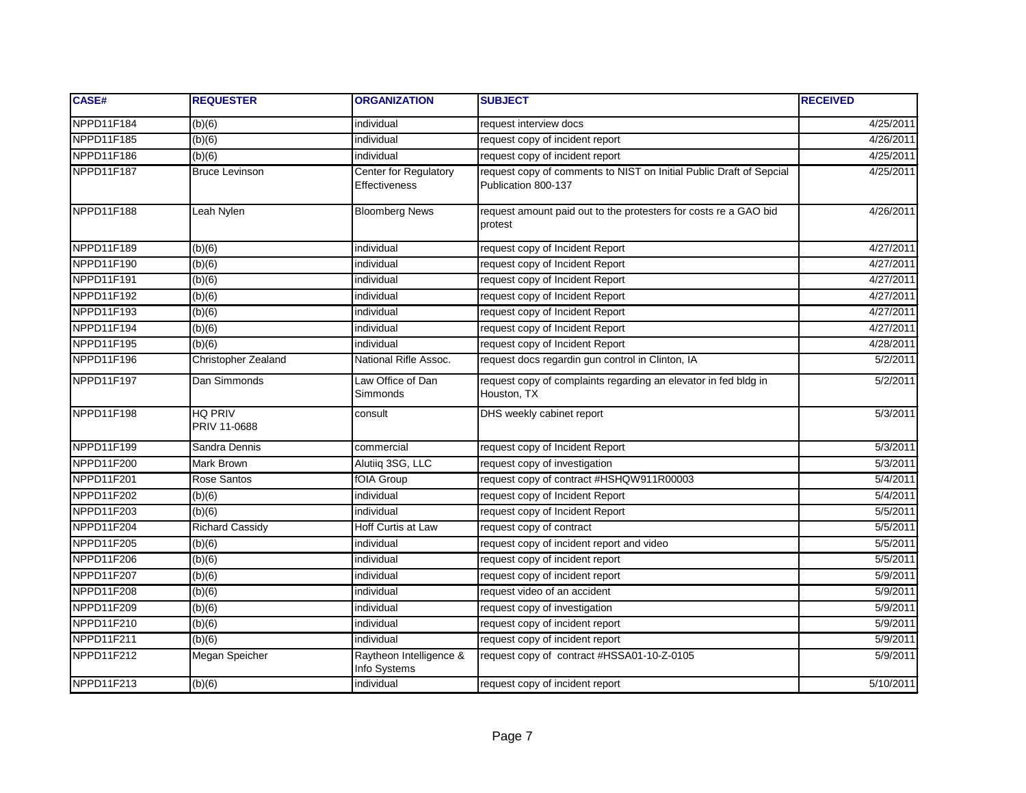| <b>CASE#</b> | <b>REQUESTER</b>        | <b>ORGANIZATION</b>                           | <b>SUBJECT</b>                                                                             | <b>RECEIVED</b>     |
|--------------|-------------------------|-----------------------------------------------|--------------------------------------------------------------------------------------------|---------------------|
| NPPD11F184   | (b)(6)                  | individual                                    | request interview docs                                                                     | 4/25/2011           |
| NPPD11F185   | (b)(6)                  | individual                                    | request copy of incident report                                                            | $\frac{4}{26/2011}$ |
| NPPD11F186   | (b)(6)                  | individual                                    | request copy of incident report                                                            | 4/25/2011           |
| NPPD11F187   | <b>Bruce Levinson</b>   | Center for Regulatory<br><b>Effectiveness</b> | request copy of comments to NIST on Initial Public Draft of Sepcial<br>Publication 800-137 | 4/25/2011           |
| NPPD11F188   | Leah Nylen              | <b>Bloomberg News</b>                         | request amount paid out to the protesters for costs re a GAO bid<br>protest                | 4/26/2011           |
| NPPD11F189   | (b)(6)                  | individual                                    | request copy of Incident Report                                                            | 4/27/2011           |
| NPPD11F190   | (b)(6)                  | individual                                    | request copy of Incident Report                                                            | 4/27/2011           |
| NPPD11F191   | (b)(6)                  | individual                                    | request copy of Incident Report                                                            | 4/27/2011           |
| NPPD11F192   | (b)(6)                  | individual                                    | request copy of Incident Report                                                            | 4/27/2011           |
| NPPD11F193   | (b)(6)                  | individual                                    | request copy of Incident Report                                                            | 4/27/2011           |
| NPPD11F194   | (b)(6)                  | individual                                    | request copy of Incident Report                                                            | 4/27/2011           |
| NPPD11F195   | (b)(6)                  | individual                                    | request copy of Incident Report                                                            | 4/28/2011           |
| NPPD11F196   | Christopher Zealand     | National Rifle Assoc.                         | request docs regardin gun control in Clinton, IA                                           | 5/2/2011            |
| NPPD11F197   | Dan Simmonds            | Law Office of Dan<br>Simmonds                 | request copy of complaints regarding an elevator in fed bldg in<br>Houston, TX             | 5/2/2011            |
| NPPD11F198   | HQ PRIV<br>PRIV 11-0688 | consult                                       | DHS weekly cabinet report                                                                  | 5/3/2011            |
| NPPD11F199   | Sandra Dennis           | commercial                                    | request copy of Incident Report                                                            | 5/3/2011            |
| NPPD11F200   | Mark Brown              | Alutiiq 3SG, LLC                              | request copy of investigation                                                              | 5/3/2011            |
| NPPD11F201   | Rose Santos             | fOIA Group                                    | request copy of contract #HSHQW911R00003                                                   | 5/4/2011            |
| NPPD11F202   | (b)(6)                  | individual                                    | request copy of Incident Report                                                            | 5/4/2011            |
| NPPD11F203   | (b)(6)                  | individual                                    | request copy of Incident Report                                                            | 5/5/2011            |
| NPPD11F204   | <b>Richard Cassidy</b>  | <b>Hoff Curtis at Law</b>                     | request copy of contract                                                                   | 5/5/2011            |
| NPPD11F205   | (b)(6)                  | individual                                    | request copy of incident report and video                                                  | 5/5/2011            |
| NPPD11F206   | (b)(6)                  | individual                                    | request copy of incident report                                                            | 5/5/2011            |
| NPPD11F207   | (b)(6)                  | individual                                    | request copy of incident report                                                            | 5/9/2011            |
| NPPD11F208   | (b)(6)                  | individual                                    | request video of an accident                                                               | 5/9/2011            |
| NPPD11F209   | (b)(6)                  | individual                                    | request copy of investigation                                                              | 5/9/2011            |
| NPPD11F210   | (b)(6)                  | individual                                    | request copy of incident report                                                            | 5/9/2011            |
| NPPD11F211   | (b)(6)                  | individual                                    | request copy of incident report                                                            | 5/9/2011            |
| NPPD11F212   | Megan Speicher          | Raytheon Intelligence &<br>Info Systems       | request copy of contract #HSSA01-10-Z-0105                                                 | 5/9/2011            |
| NPPD11F213   | (b)(6)                  | individual                                    | request copy of incident report                                                            | 5/10/2011           |